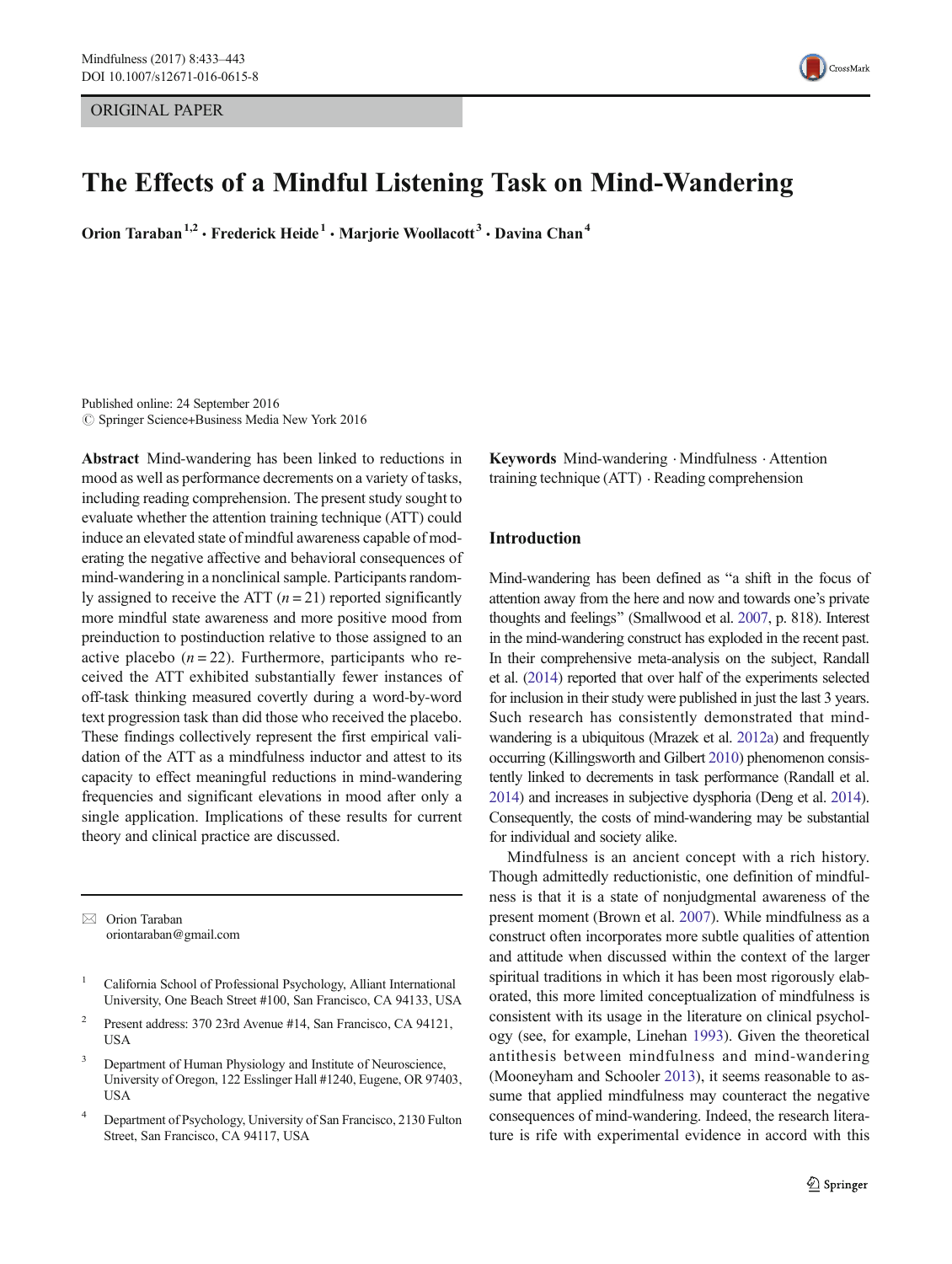ORIGINAL PAPER



# The Effects of a Mindful Listening Task on Mind-Wandering

Orion Taraban<sup>1,2</sup> · Frederick Heide<sup>1</sup> · Mariorie Woollacott<sup>3</sup> · Davina Chan<sup>4</sup>

Published online: 24 September 2016  $\circ$  Springer Science+Business Media New York 2016

Abstract Mind-wandering has been linked to reductions in mood as well as performance decrements on a variety of tasks, including reading comprehension. The present study sought to evaluate whether the attention training technique (ATT) could induce an elevated state of mindful awareness capable of moderating the negative affective and behavioral consequences of mind-wandering in a nonclinical sample. Participants randomly assigned to receive the ATT  $(n = 21)$  reported significantly more mindful state awareness and more positive mood from preinduction to postinduction relative to those assigned to an active placebo  $(n = 22)$ . Furthermore, participants who received the ATT exhibited substantially fewer instances of off-task thinking measured covertly during a word-by-word text progression task than did those who received the placebo. These findings collectively represent the first empirical validation of the ATT as a mindfulness inductor and attest to its capacity to effect meaningful reductions in mind-wandering frequencies and significant elevations in mood after only a single application. Implications of these results for current theory and clinical practice are discussed.

 $\boxtimes$  Orion Taraban oriontaraban@gmail.com

- <sup>1</sup> California School of Professional Psychology, Alliant International University, One Beach Street #100, San Francisco, CA 94133, USA
- <sup>2</sup> Present address: 370 23rd Avenue #14, San Francisco, CA 94121, USA
- <sup>3</sup> Department of Human Physiology and Institute of Neuroscience, University of Oregon, 122 Esslinger Hall #1240, Eugene, OR 97403, **USA**
- <sup>4</sup> Department of Psychology, University of San Francisco, 2130 Fulton Street, San Francisco, CA 94117, USA

Keywords Mind-wandering . Mindfulness . Attention training technique (ATT) . Reading comprehension

# Introduction

Mind-wandering has been defined as "a shift in the focus of attention away from the here and now and towards one's private thoughts and feelings^ (Smallwood et al. [2007,](#page-10-0) p. 818). Interest in the mind-wandering construct has exploded in the recent past. In their comprehensive meta-analysis on the subject, Randall et al. [\(2014](#page-10-0)) reported that over half of the experiments selected for inclusion in their study were published in just the last 3 years. Such research has consistently demonstrated that mindwandering is a ubiquitous (Mrazek et al. [2012a](#page-10-0)) and frequently occurring (Killingsworth and Gilbert [2010](#page-9-0)) phenomenon consistently linked to decrements in task performance (Randall et al. [2014\)](#page-10-0) and increases in subjective dysphoria (Deng et al. [2014\)](#page-9-0). Consequently, the costs of mind-wandering may be substantial for individual and society alike.

Mindfulness is an ancient concept with a rich history. Though admittedly reductionistic, one definition of mindfulness is that it is a state of nonjudgmental awareness of the present moment (Brown et al. [2007\)](#page-9-0). While mindfulness as a construct often incorporates more subtle qualities of attention and attitude when discussed within the context of the larger spiritual traditions in which it has been most rigorously elaborated, this more limited conceptualization of mindfulness is consistent with its usage in the literature on clinical psychology (see, for example, Linehan [1993\)](#page-10-0). Given the theoretical antithesis between mindfulness and mind-wandering (Mooneyham and Schooler [2013](#page-10-0)), it seems reasonable to assume that applied mindfulness may counteract the negative consequences of mind-wandering. Indeed, the research literature is rife with experimental evidence in accord with this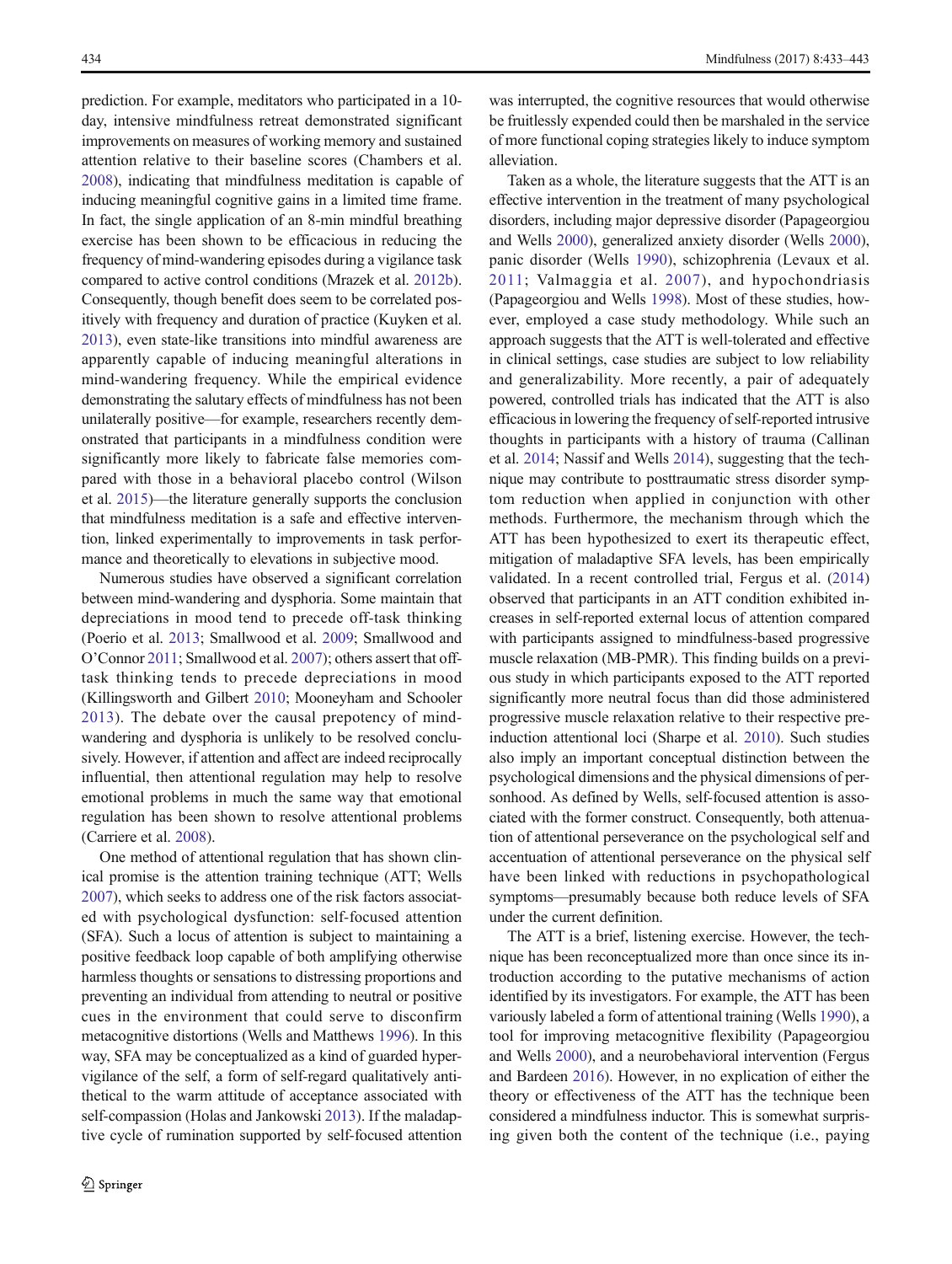prediction. For example, meditators who participated in a 10 day, intensive mindfulness retreat demonstrated significant improvements on measures of working memory and sustained attention relative to their baseline scores (Chambers et al. [2008\)](#page-9-0), indicating that mindfulness meditation is capable of inducing meaningful cognitive gains in a limited time frame. In fact, the single application of an 8-min mindful breathing exercise has been shown to be efficacious in reducing the frequency of mind-wandering episodes during a vigilance task compared to active control conditions (Mrazek et al. [2012b\)](#page-10-0). Consequently, though benefit does seem to be correlated positively with frequency and duration of practice (Kuyken et al. [2013\)](#page-9-0), even state-like transitions into mindful awareness are apparently capable of inducing meaningful alterations in mind-wandering frequency. While the empirical evidence demonstrating the salutary effects of mindfulness has not been unilaterally positive—for example, researchers recently demonstrated that participants in a mindfulness condition were significantly more likely to fabricate false memories compared with those in a behavioral placebo control (Wilson et al. [2015\)](#page-10-0)—the literature generally supports the conclusion that mindfulness meditation is a safe and effective intervention, linked experimentally to improvements in task performance and theoretically to elevations in subjective mood.

Numerous studies have observed a significant correlation between mind-wandering and dysphoria. Some maintain that depreciations in mood tend to precede off-task thinking (Poerio et al. [2013](#page-10-0); Smallwood et al. [2009](#page-10-0); Smallwood and O'Connor [2011;](#page-10-0) Smallwood et al. [2007\)](#page-10-0); others assert that offtask thinking tends to precede depreciations in mood (Killingsworth and Gilbert [2010;](#page-9-0) Mooneyham and Schooler [2013\)](#page-10-0). The debate over the causal prepotency of mindwandering and dysphoria is unlikely to be resolved conclusively. However, if attention and affect are indeed reciprocally influential, then attentional regulation may help to resolve emotional problems in much the same way that emotional regulation has been shown to resolve attentional problems (Carriere et al. [2008](#page-9-0)).

One method of attentional regulation that has shown clinical promise is the attention training technique (ATT; Wells [2007\)](#page-10-0), which seeks to address one of the risk factors associated with psychological dysfunction: self-focused attention (SFA). Such a locus of attention is subject to maintaining a positive feedback loop capable of both amplifying otherwise harmless thoughts or sensations to distressing proportions and preventing an individual from attending to neutral or positive cues in the environment that could serve to disconfirm metacognitive distortions (Wells and Matthews [1996](#page-10-0)). In this way, SFA may be conceptualized as a kind of guarded hypervigilance of the self, a form of self-regard qualitatively antithetical to the warm attitude of acceptance associated with self-compassion (Holas and Jankowski [2013\)](#page-9-0). If the maladaptive cycle of rumination supported by self-focused attention was interrupted, the cognitive resources that would otherwise be fruitlessly expended could then be marshaled in the service of more functional coping strategies likely to induce symptom alleviation.

Taken as a whole, the literature suggests that the ATT is an effective intervention in the treatment of many psychological disorders, including major depressive disorder (Papageorgiou and Wells [2000](#page-10-0)), generalized anxiety disorder (Wells [2000\)](#page-10-0), panic disorder (Wells [1990\)](#page-10-0), schizophrenia (Levaux et al. [2011](#page-9-0); Valmaggia et al. [2007\)](#page-10-0), and hypochondriasis (Papageorgiou and Wells [1998\)](#page-10-0). Most of these studies, however, employed a case study methodology. While such an approach suggests that the ATT is well-tolerated and effective in clinical settings, case studies are subject to low reliability and generalizability. More recently, a pair of adequately powered, controlled trials has indicated that the ATT is also efficacious in lowering the frequency of self-reported intrusive thoughts in participants with a history of trauma (Callinan et al. [2014](#page-9-0); Nassif and Wells [2014\)](#page-10-0), suggesting that the technique may contribute to posttraumatic stress disorder symptom reduction when applied in conjunction with other methods. Furthermore, the mechanism through which the ATT has been hypothesized to exert its therapeutic effect, mitigation of maladaptive SFA levels, has been empirically validated. In a recent controlled trial, Fergus et al. ([2014](#page-9-0)) observed that participants in an ATT condition exhibited increases in self-reported external locus of attention compared with participants assigned to mindfulness-based progressive muscle relaxation (MB-PMR). This finding builds on a previous study in which participants exposed to the ATT reported significantly more neutral focus than did those administered progressive muscle relaxation relative to their respective preinduction attentional loci (Sharpe et al. [2010](#page-10-0)). Such studies also imply an important conceptual distinction between the psychological dimensions and the physical dimensions of personhood. As defined by Wells, self-focused attention is associated with the former construct. Consequently, both attenuation of attentional perseverance on the psychological self and accentuation of attentional perseverance on the physical self have been linked with reductions in psychopathological symptoms—presumably because both reduce levels of SFA under the current definition.

The ATT is a brief, listening exercise. However, the technique has been reconceptualized more than once since its introduction according to the putative mechanisms of action identified by its investigators. For example, the ATT has been variously labeled a form of attentional training (Wells [1990](#page-10-0)), a tool for improving metacognitive flexibility (Papageorgiou and Wells [2000](#page-10-0)), and a neurobehavioral intervention (Fergus and Bardeen [2016](#page-9-0)). However, in no explication of either the theory or effectiveness of the ATT has the technique been considered a mindfulness inductor. This is somewhat surprising given both the content of the technique (i.e., paying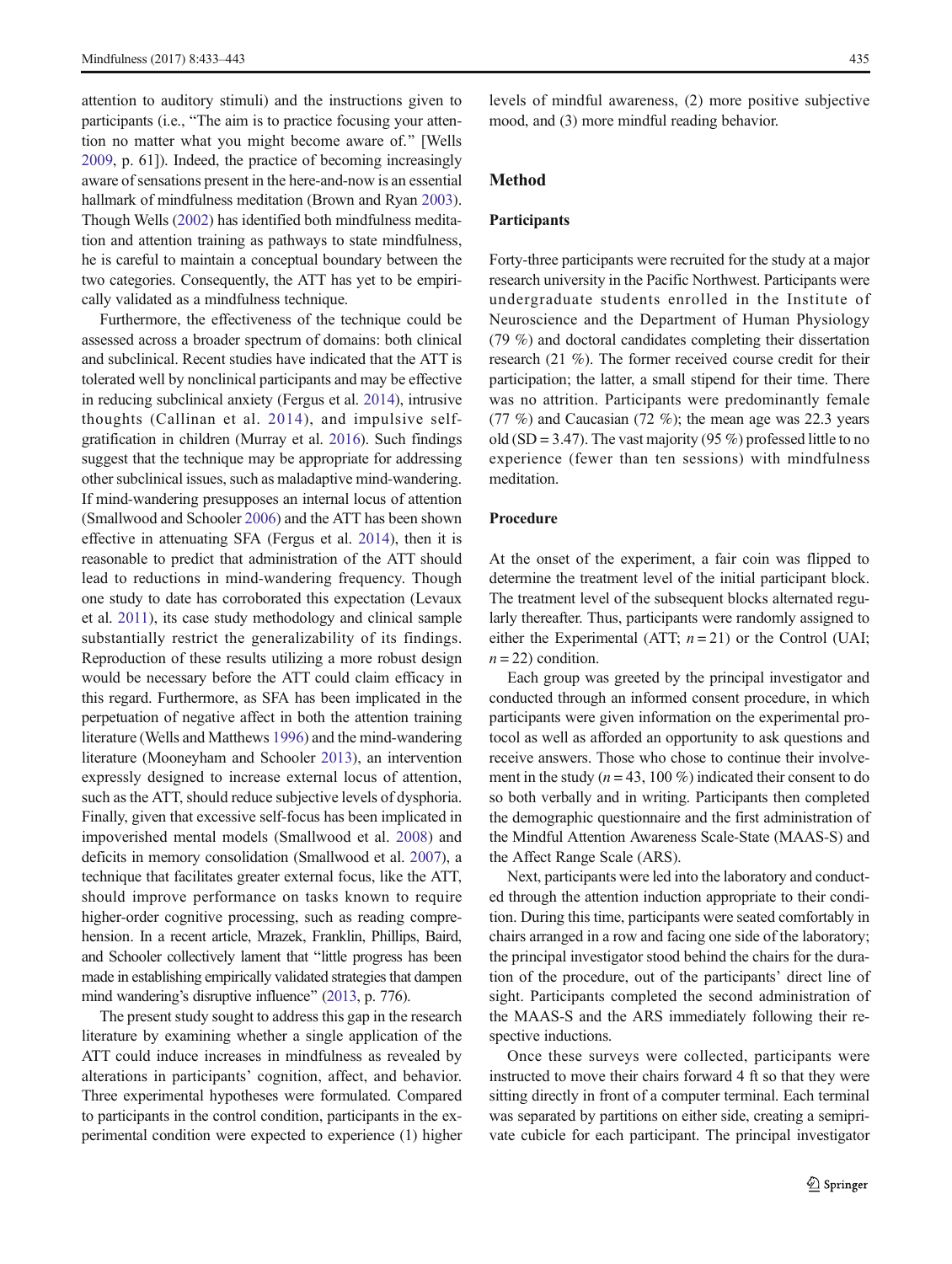attention to auditory stimuli) and the instructions given to participants (i.e., "The aim is to practice focusing your attention no matter what you might become aware of.^ [Wells [2009,](#page-10-0) p. 61]). Indeed, the practice of becoming increasingly aware of sensations present in the here-and-now is an essential hallmark of mindfulness meditation (Brown and Ryan [2003\)](#page-9-0). Though Wells [\(2002\)](#page-10-0) has identified both mindfulness meditation and attention training as pathways to state mindfulness, he is careful to maintain a conceptual boundary between the two categories. Consequently, the ATT has yet to be empirically validated as a mindfulness technique.

Furthermore, the effectiveness of the technique could be assessed across a broader spectrum of domains: both clinical and subclinical. Recent studies have indicated that the ATT is tolerated well by nonclinical participants and may be effective in reducing subclinical anxiety (Fergus et al. [2014](#page-9-0)), intrusive thoughts (Callinan et al. [2014\)](#page-9-0), and impulsive selfgratification in children (Murray et al. [2016](#page-10-0)). Such findings suggest that the technique may be appropriate for addressing other subclinical issues, such as maladaptive mind-wandering. If mind-wandering presupposes an internal locus of attention (Smallwood and Schooler [2006\)](#page-10-0) and the ATT has been shown effective in attenuating SFA (Fergus et al. [2014\)](#page-9-0), then it is reasonable to predict that administration of the ATT should lead to reductions in mind-wandering frequency. Though one study to date has corroborated this expectation (Levaux et al. [2011](#page-9-0)), its case study methodology and clinical sample substantially restrict the generalizability of its findings. Reproduction of these results utilizing a more robust design would be necessary before the ATT could claim efficacy in this regard. Furthermore, as SFA has been implicated in the perpetuation of negative affect in both the attention training literature (Wells and Matthews [1996](#page-10-0)) and the mind-wandering literature (Mooneyham and Schooler [2013](#page-10-0)), an intervention expressly designed to increase external locus of attention, such as the ATT, should reduce subjective levels of dysphoria. Finally, given that excessive self-focus has been implicated in impoverished mental models (Smallwood et al. [2008\)](#page-10-0) and deficits in memory consolidation (Smallwood et al. [2007](#page-10-0)), a technique that facilitates greater external focus, like the ATT, should improve performance on tasks known to require higher-order cognitive processing, such as reading comprehension. In a recent article, Mrazek, Franklin, Phillips, Baird, and Schooler collectively lament that "little progress has been made in establishing empirically validated strategies that dampen mind wandering's disruptive influence" [\(2013](#page-10-0), p. 776).

The present study sought to address this gap in the research literature by examining whether a single application of the ATT could induce increases in mindfulness as revealed by alterations in participants' cognition, affect, and behavior. Three experimental hypotheses were formulated. Compared to participants in the control condition, participants in the experimental condition were expected to experience (1) higher

levels of mindful awareness, (2) more positive subjective mood, and (3) more mindful reading behavior.

# Method

## Participants

Forty-three participants were recruited for the study at a major research university in the Pacific Northwest. Participants were undergraduate students enrolled in the Institute of Neuroscience and the Department of Human Physiology (79 %) and doctoral candidates completing their dissertation research (21 %). The former received course credit for their participation; the latter, a small stipend for their time. There was no attrition. Participants were predominantly female (77 %) and Caucasian (72 %); the mean age was 22.3 years old (SD = 3.47). The vast majority (95 %) professed little to no experience (fewer than ten sessions) with mindfulness meditation.

## Procedure

At the onset of the experiment, a fair coin was flipped to determine the treatment level of the initial participant block. The treatment level of the subsequent blocks alternated regularly thereafter. Thus, participants were randomly assigned to either the Experimental (ATT;  $n = 21$ ) or the Control (UAI;  $n = 22$ ) condition.

Each group was greeted by the principal investigator and conducted through an informed consent procedure, in which participants were given information on the experimental protocol as well as afforded an opportunity to ask questions and receive answers. Those who chose to continue their involvement in the study ( $n = 43, 100\%$ ) indicated their consent to do so both verbally and in writing. Participants then completed the demographic questionnaire and the first administration of the Mindful Attention Awareness Scale-State (MAAS-S) and the Affect Range Scale (ARS).

Next, participants were led into the laboratory and conducted through the attention induction appropriate to their condition. During this time, participants were seated comfortably in chairs arranged in a row and facing one side of the laboratory; the principal investigator stood behind the chairs for the duration of the procedure, out of the participants' direct line of sight. Participants completed the second administration of the MAAS-S and the ARS immediately following their respective inductions.

Once these surveys were collected, participants were instructed to move their chairs forward 4 ft so that they were sitting directly in front of a computer terminal. Each terminal was separated by partitions on either side, creating a semiprivate cubicle for each participant. The principal investigator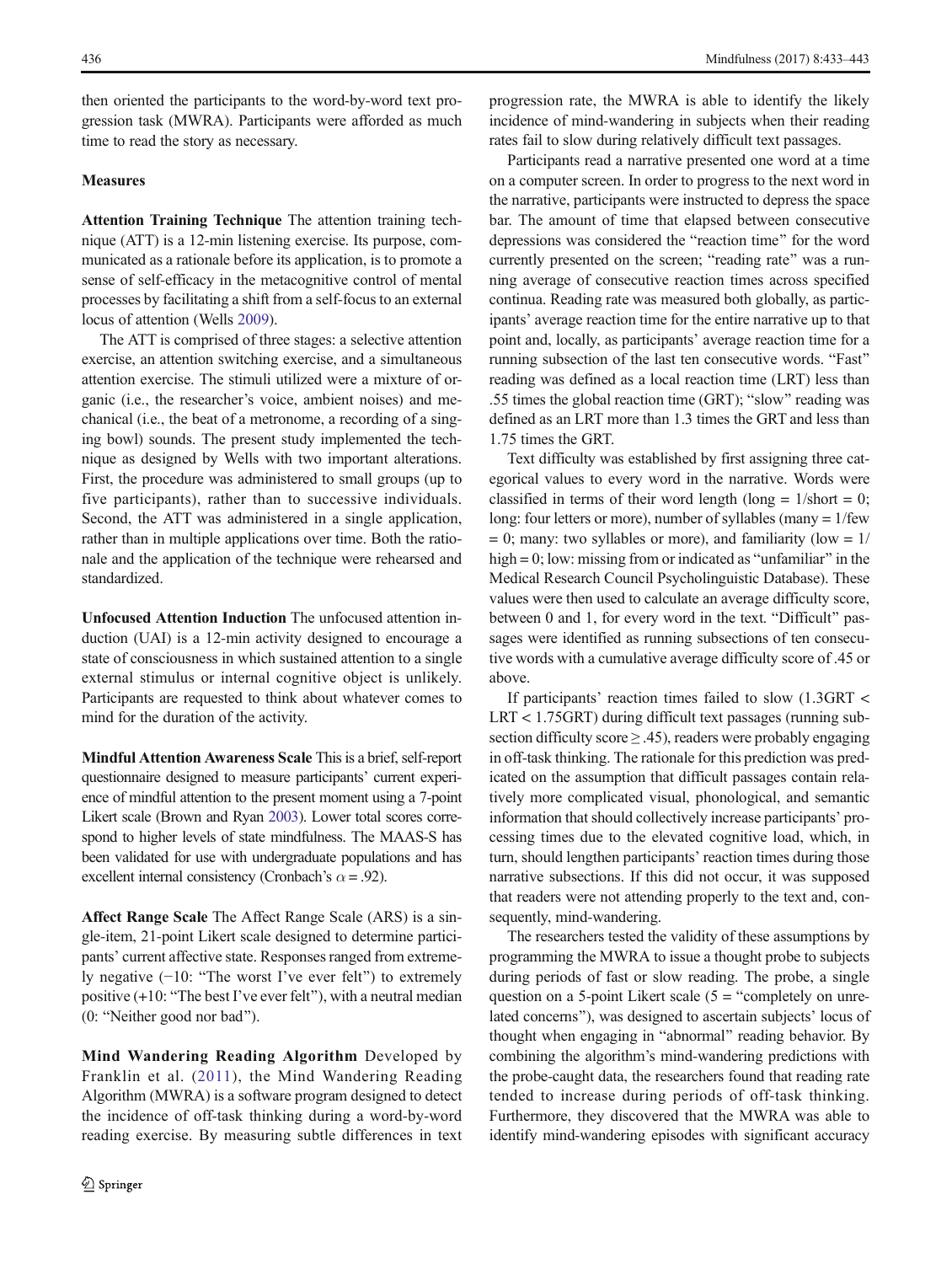then oriented the participants to the word-by-word text progression task (MWRA). Participants were afforded as much time to read the story as necessary.

# **Measures**

Attention Training Technique The attention training technique (ATT) is a 12-min listening exercise. Its purpose, communicated as a rationale before its application, is to promote a sense of self-efficacy in the metacognitive control of mental processes by facilitating a shift from a self-focus to an external locus of attention (Wells [2009](#page-10-0)).

The ATT is comprised of three stages: a selective attention exercise, an attention switching exercise, and a simultaneous attention exercise. The stimuli utilized were a mixture of organic (i.e., the researcher's voice, ambient noises) and mechanical (i.e., the beat of a metronome, a recording of a singing bowl) sounds. The present study implemented the technique as designed by Wells with two important alterations. First, the procedure was administered to small groups (up to five participants), rather than to successive individuals. Second, the ATT was administered in a single application, rather than in multiple applications over time. Both the rationale and the application of the technique were rehearsed and standardized.

Unfocused Attention Induction The unfocused attention induction (UAI) is a 12-min activity designed to encourage a state of consciousness in which sustained attention to a single external stimulus or internal cognitive object is unlikely. Participants are requested to think about whatever comes to mind for the duration of the activity.

Mindful Attention Awareness Scale This is a brief, self-report questionnaire designed to measure participants' current experience of mindful attention to the present moment using a 7-point Likert scale (Brown and Ryan [2003\)](#page-9-0). Lower total scores correspond to higher levels of state mindfulness. The MAAS-S has been validated for use with undergraduate populations and has excellent internal consistency (Cronbach's  $\alpha$  = .92).

Affect Range Scale The Affect Range Scale (ARS) is a single-item, 21-point Likert scale designed to determine participants' current affective state. Responses ranged from extremely negative  $(-10:$  "The worst I've ever felt") to extremely positive  $(+10:$  "The best I've ever felt"), with a neutral median (0: "Neither good nor bad").

Mind Wandering Reading Algorithm Developed by Franklin et al. ([2011](#page-9-0)), the Mind Wandering Reading Algorithm (MWRA) is a software program designed to detect the incidence of off-task thinking during a word-by-word reading exercise. By measuring subtle differences in text

progression rate, the MWRA is able to identify the likely incidence of mind-wandering in subjects when their reading rates fail to slow during relatively difficult text passages.

Participants read a narrative presented one word at a time on a computer screen. In order to progress to the next word in the narrative, participants were instructed to depress the space bar. The amount of time that elapsed between consecutive depressions was considered the "reaction time" for the word currently presented on the screen; "reading rate" was a running average of consecutive reaction times across specified continua. Reading rate was measured both globally, as participants' average reaction time for the entire narrative up to that point and, locally, as participants' average reaction time for a running subsection of the last ten consecutive words. "Fast" reading was defined as a local reaction time (LRT) less than .55 times the global reaction time  $(GRT)$ ; "slow" reading was defined as an LRT more than 1.3 times the GRT and less than 1.75 times the GRT.

Text difficulty was established by first assigning three categorical values to every word in the narrative. Words were classified in terms of their word length (long  $= 1/\text{short} = 0$ ; long: four letters or more), number of syllables (many  $= 1$ /few  $= 0$ ; many: two syllables or more), and familiarity (low  $= 1/$ high  $= 0$ ; low: missing from or indicated as "unfamiliar" in the Medical Research Council Psycholinguistic Database). These values were then used to calculate an average difficulty score, between  $0$  and  $1$ , for every word in the text. "Difficult" passages were identified as running subsections of ten consecutive words with a cumulative average difficulty score of .45 or above.

If participants' reaction times failed to slow (1.3GRT < LRT < 1.75GRT) during difficult text passages (running subsection difficulty score  $\geq$  .45), readers were probably engaging in off-task thinking. The rationale for this prediction was predicated on the assumption that difficult passages contain relatively more complicated visual, phonological, and semantic information that should collectively increase participants' processing times due to the elevated cognitive load, which, in turn, should lengthen participants' reaction times during those narrative subsections. If this did not occur, it was supposed that readers were not attending properly to the text and, consequently, mind-wandering.

The researchers tested the validity of these assumptions by programming the MWRA to issue a thought probe to subjects during periods of fast or slow reading. The probe, a single question on a 5-point Likert scale ( $5 = \text{``completely on unre--}$ lated concerns^), was designed to ascertain subjects' locus of thought when engaging in "abnormal" reading behavior. By combining the algorithm's mind-wandering predictions with the probe-caught data, the researchers found that reading rate tended to increase during periods of off-task thinking. Furthermore, they discovered that the MWRA was able to identify mind-wandering episodes with significant accuracy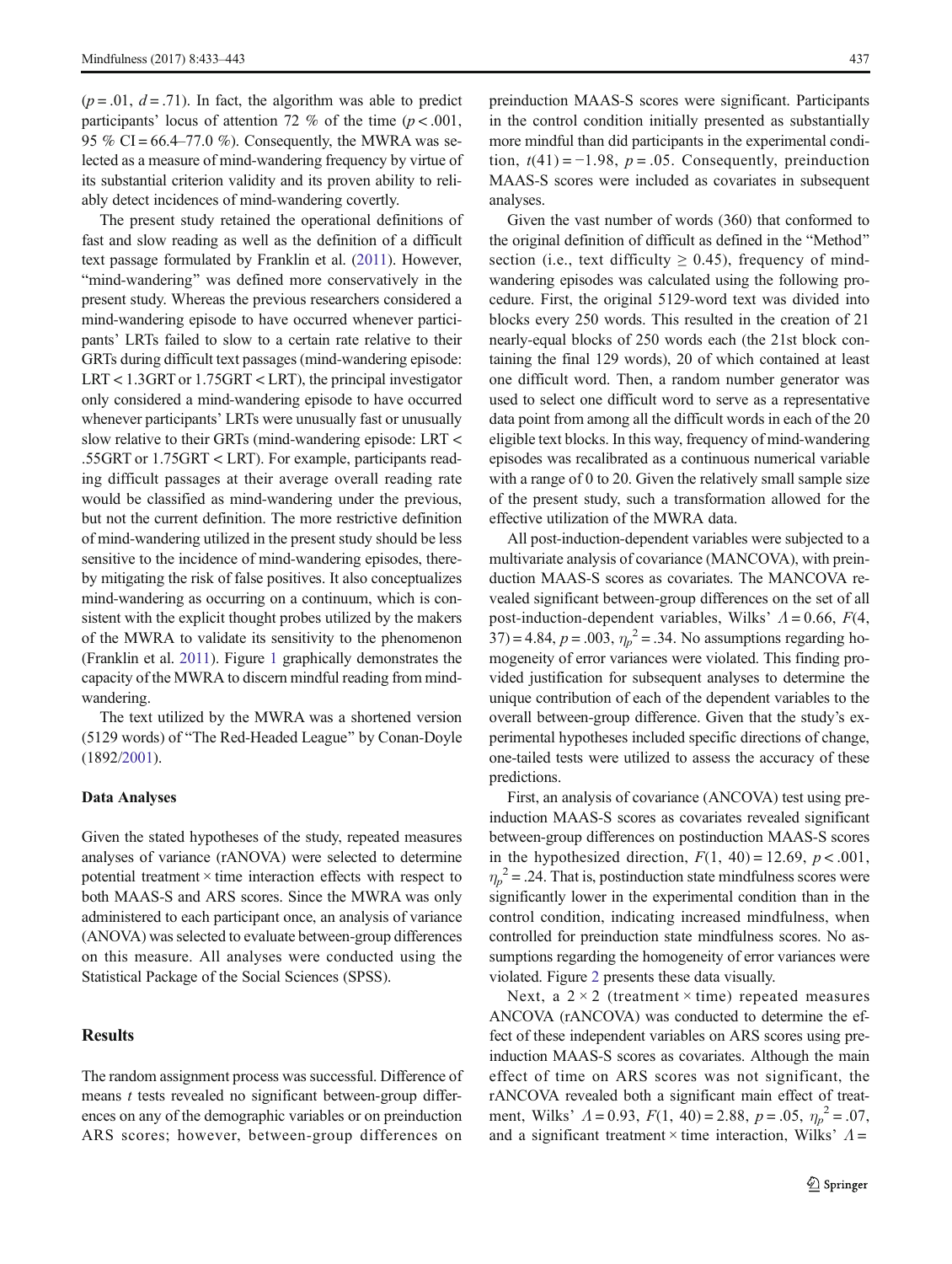$(p = .01, d = .71)$ . In fact, the algorithm was able to predict participants' locus of attention 72 % of the time  $(p < .001, )$ 95 % CI =  $66.4-77.0$  %). Consequently, the MWRA was selected as a measure of mind-wandering frequency by virtue of its substantial criterion validity and its proven ability to reliably detect incidences of mind-wandering covertly.

The present study retained the operational definitions of fast and slow reading as well as the definition of a difficult text passage formulated by Franklin et al. [\(2011](#page-9-0)). However, "mind-wandering" was defined more conservatively in the present study. Whereas the previous researchers considered a mind-wandering episode to have occurred whenever participants' LRTs failed to slow to a certain rate relative to their GRTs during difficult text passages (mind-wandering episode: LRT < 1.3GRT or 1.75GRT < LRT), the principal investigator only considered a mind-wandering episode to have occurred whenever participants' LRTs were unusually fast or unusually slow relative to their GRTs (mind-wandering episode: LRT < .55GRT or 1.75GRT < LRT). For example, participants reading difficult passages at their average overall reading rate would be classified as mind-wandering under the previous, but not the current definition. The more restrictive definition of mind-wandering utilized in the present study should be less sensitive to the incidence of mind-wandering episodes, thereby mitigating the risk of false positives. It also conceptualizes mind-wandering as occurring on a continuum, which is consistent with the explicit thought probes utilized by the makers of the MWRA to validate its sensitivity to the phenomenon (Franklin et al. [2011\)](#page-9-0). Figure [1](#page-5-0) graphically demonstrates the capacity of the MWRA to discern mindful reading from mindwandering.

The text utilized by the MWRA was a shortened version (5129 words) of "The Red-Headed League" by Conan-Doyle (1892[/2001\)](#page-9-0).

#### Data Analyses

Given the stated hypotheses of the study, repeated measures analyses of variance (rANOVA) were selected to determine potential treatment  $\times$  time interaction effects with respect to both MAAS-S and ARS scores. Since the MWRA was only administered to each participant once, an analysis of variance (ANOVA) was selected to evaluate between-group differences on this measure. All analyses were conducted using the Statistical Package of the Social Sciences (SPSS).

# Results

The random assignment process was successful. Difference of means  $t$  tests revealed no significant between-group differences on any of the demographic variables or on preinduction ARS scores; however, between-group differences on

preinduction MAAS-S scores were significant. Participants in the control condition initially presented as substantially more mindful than did participants in the experimental condition,  $t(41) = -1.98$ ,  $p = .05$ . Consequently, preinduction MAAS-S scores were included as covariates in subsequent analyses.

Given the vast number of words (360) that conformed to the original definition of difficult as defined in the "Method" section (i.e., text difficulty  $\geq$  0.45), frequency of mindwandering episodes was calculated using the following procedure. First, the original 5129-word text was divided into blocks every 250 words. This resulted in the creation of 21 nearly-equal blocks of 250 words each (the 21st block containing the final 129 words), 20 of which contained at least one difficult word. Then, a random number generator was used to select one difficult word to serve as a representative data point from among all the difficult words in each of the 20 eligible text blocks. In this way, frequency of mind-wandering episodes was recalibrated as a continuous numerical variable with a range of 0 to 20. Given the relatively small sample size of the present study, such a transformation allowed for the effective utilization of the MWRA data.

All post-induction-dependent variables were subjected to a multivariate analysis of covariance (MANCOVA), with preinduction MAAS-S scores as covariates. The MANCOVA revealed significant between-group differences on the set of all post-induction-dependent variables, Wilks'  $\Lambda = 0.66$ ,  $F(4)$ , 37) = 4.84,  $p = .003$ ,  $\eta_p^2 = .34$ . No assumptions regarding homogeneity of error variances were violated. This finding provided justification for subsequent analyses to determine the unique contribution of each of the dependent variables to the overall between-group difference. Given that the study's experimental hypotheses included specific directions of change, one-tailed tests were utilized to assess the accuracy of these predictions.

First, an analysis of covariance (ANCOVA) test using preinduction MAAS-S scores as covariates revealed significant between-group differences on postinduction MAAS-S scores in the hypothesized direction,  $F(1, 40) = 12.69$ ,  $p < .001$ ,  $\eta_p^2$  = .24. That is, postinduction state mindfulness scores were significantly lower in the experimental condition than in the control condition, indicating increased mindfulness, when controlled for preinduction state mindfulness scores. No assumptions regarding the homogeneity of error variances were violated. Figure [2](#page-5-0) presents these data visually.

Next, a  $2 \times 2$  (treatment  $\times$  time) repeated measures ANCOVA (rANCOVA) was conducted to determine the effect of these independent variables on ARS scores using preinduction MAAS-S scores as covariates. Although the main effect of time on ARS scores was not significant, the rANCOVA revealed both a significant main effect of treatment, Wilks'  $\Lambda = 0.93$ ,  $F(1, 40) = 2.88$ ,  $p = .05$ ,  $\eta_p^2 = .07$ , and a significant treatment  $\times$  time interaction, Wilks'  $\Lambda$  =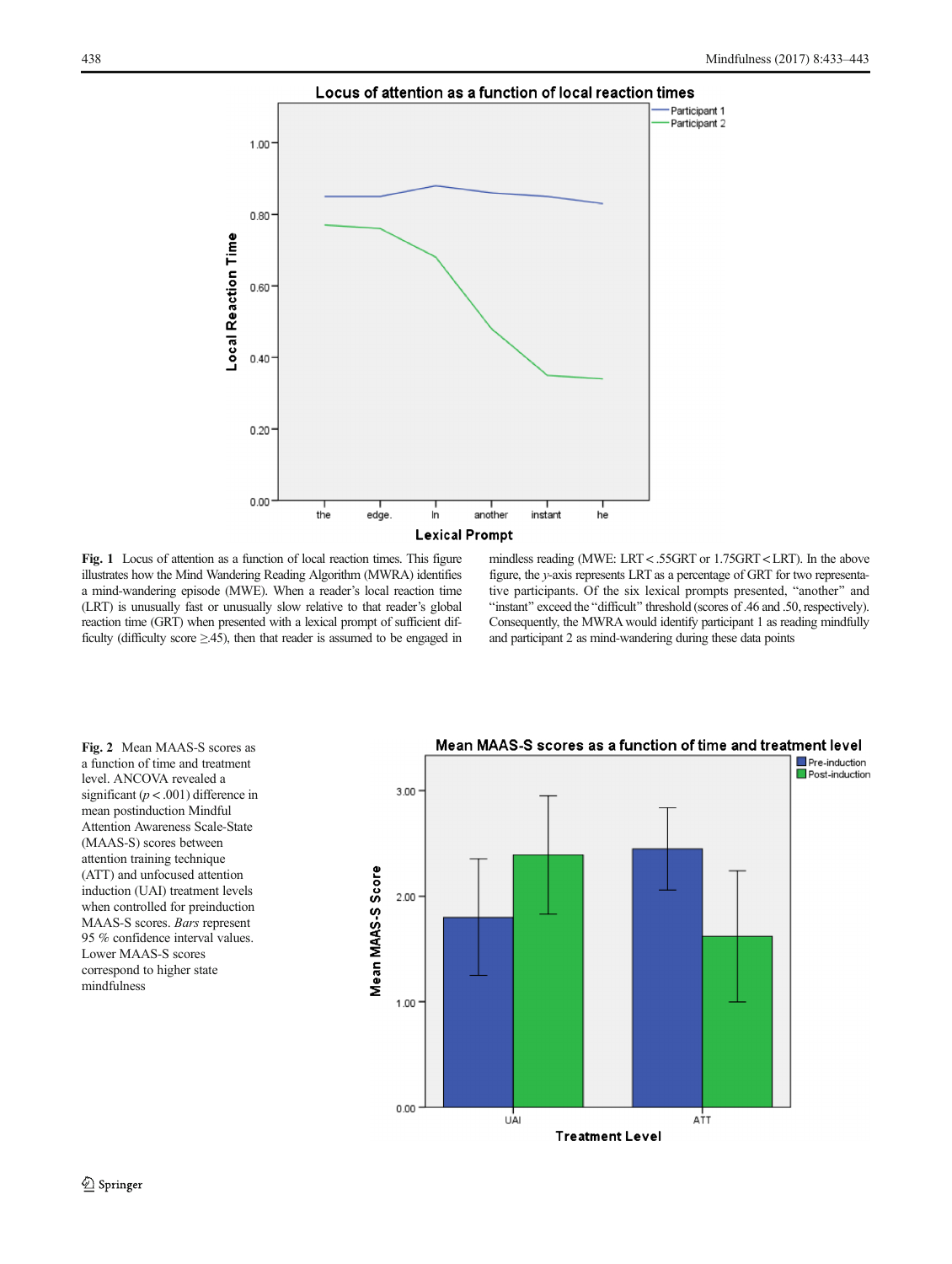<span id="page-5-0"></span>

Fig. 1 Locus of attention as a function of local reaction times. This figure illustrates how the Mind Wandering Reading Algorithm (MWRA) identifies a mind-wandering episode (MWE). When a reader's local reaction time (LRT) is unusually fast or unusually slow relative to that reader's global reaction time (GRT) when presented with a lexical prompt of sufficient difficulty (difficulty score  $\geq$ .45), then that reader is assumed to be engaged in mindless reading (MWE: LRT < .55GRT or 1.75GRT < LRT). In the above figure, the y-axis represents LRT as a percentage of GRT for two representative participants. Of the six lexical prompts presented, "another" and "instant" exceed the "difficult" threshold (scores of .46 and .50, respectively). Consequently, the MWRA would identify participant 1 as reading mindfully and participant 2 as mind-wandering during these data points

Fig. 2 Mean MAAS-S scores as a function of time and treatment level. ANCOVA revealed a significant ( $p < .001$ ) difference in mean postinduction Mindful Attention Awareness Scale-State (MAAS-S) scores between attention training technique (ATT) and unfocused attention induction (UAI) treatment levels when controlled for preinduction MAAS-S scores. Bars represent 95 % confidence interval values. Lower MAAS-S scores correspond to higher state mindfulness



# Mean MAAS-S scores as a function of time and treatment level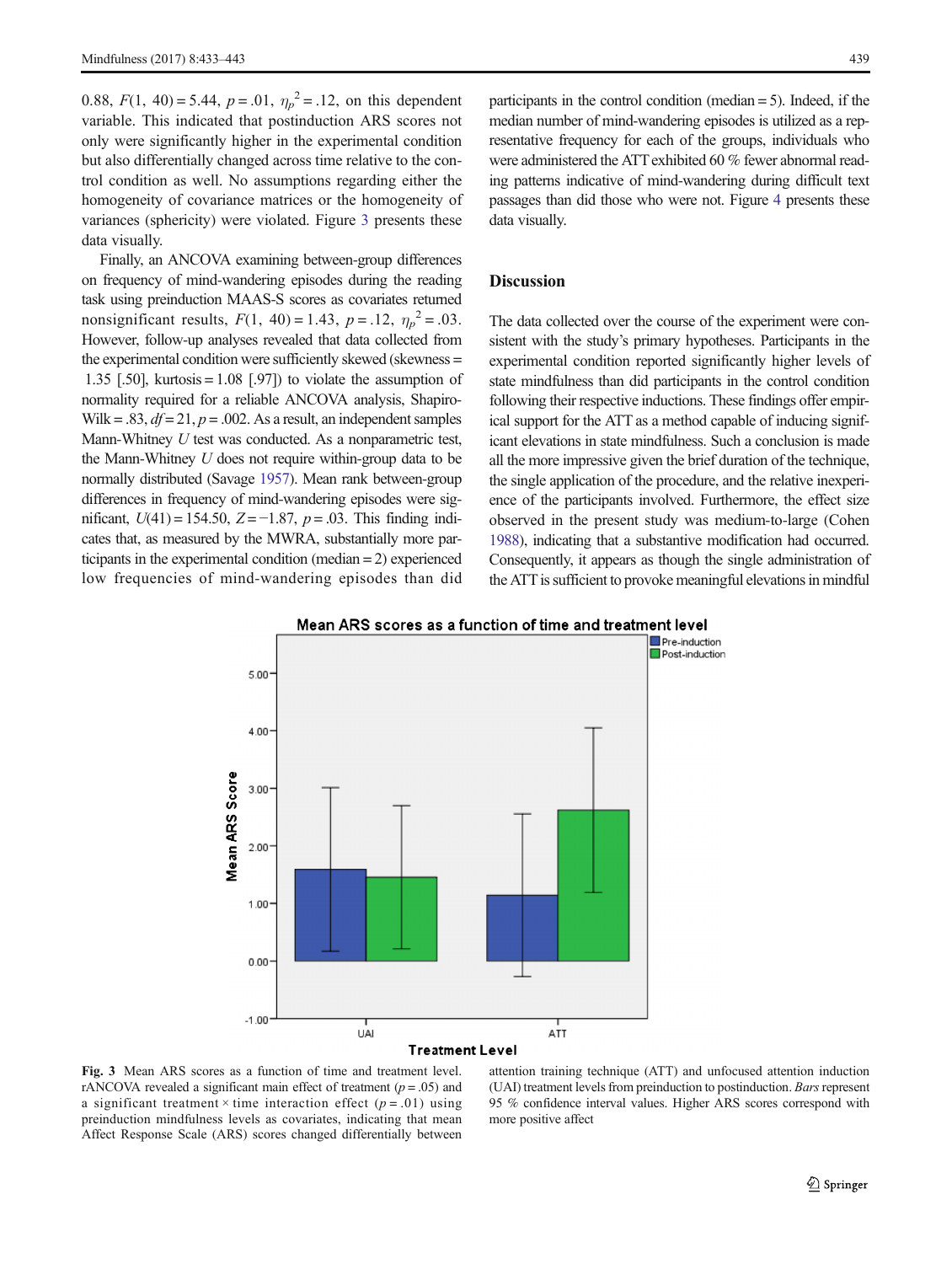0.88,  $F(1, 40) = 5.44$ ,  $p = .01$ ,  $\eta_p^2 = .12$ , on this dependent variable. This indicated that postinduction ARS scores not only were significantly higher in the experimental condition but also differentially changed across time relative to the control condition as well. No assumptions regarding either the homogeneity of covariance matrices or the homogeneity of variances (sphericity) were violated. Figure 3 presents these data visually.

Finally, an ANCOVA examining between-group differences on frequency of mind-wandering episodes during the reading task using preinduction MAAS-S scores as covariates returned nonsignificant results,  $F(1, 40) = 1.43$ ,  $p = .12$ ,  $\eta_p^2 = .03$ . However, follow-up analyses revealed that data collected from the experimental condition were sufficiently skewed (skewness = 1.35 [.50], kurtosis =  $1.08$  [.97]) to violate the assumption of normality required for a reliable ANCOVA analysis, Shapiro-Wilk = .83,  $df = 21$ ,  $p = .002$ . As a result, an independent samples Mann-Whitney U test was conducted. As a nonparametric test, the Mann-Whitney U does not require within-group data to be normally distributed (Savage [1957](#page-10-0)). Mean rank between-group differences in frequency of mind-wandering episodes were significant,  $U(41) = 154.50$ ,  $Z = -1.87$ ,  $p = .03$ . This finding indicates that, as measured by the MWRA, substantially more participants in the experimental condition (median = 2) experienced low frequencies of mind-wandering episodes than did

participants in the control condition (median  $= 5$ ). Indeed, if the median number of mind-wandering episodes is utilized as a representative frequency for each of the groups, individuals who were administered the ATT exhibited 60 % fewer abnormal reading patterns indicative of mind-wandering during difficult text passages than did those who were not. Figure [4](#page-7-0) presents these data visually.

## Discussion

The data collected over the course of the experiment were consistent with the study's primary hypotheses. Participants in the experimental condition reported significantly higher levels of state mindfulness than did participants in the control condition following their respective inductions. These findings offer empirical support for the ATT as a method capable of inducing significant elevations in state mindfulness. Such a conclusion is made all the more impressive given the brief duration of the technique, the single application of the procedure, and the relative inexperience of the participants involved. Furthermore, the effect size observed in the present study was medium-to-large (Cohen [1988\)](#page-9-0), indicating that a substantive modification had occurred. Consequently, it appears as though the single administration of the ATT is sufficient to provoke meaningful elevations in mindful



#### Mean ARS scores as a function of time and treatment level

Fig. 3 Mean ARS scores as a function of time and treatment level. rANCOVA revealed a significant main effect of treatment  $(p = .05)$  and a significant treatment  $\times$  time interaction effect ( $p = .01$ ) using preinduction mindfulness levels as covariates, indicating that mean Affect Response Scale (ARS) scores changed differentially between

attention training technique (ATT) and unfocused attention induction (UAI) treatment levels from preinduction to postinduction. Bars represent 95 % confidence interval values. Higher ARS scores correspond with more positive affect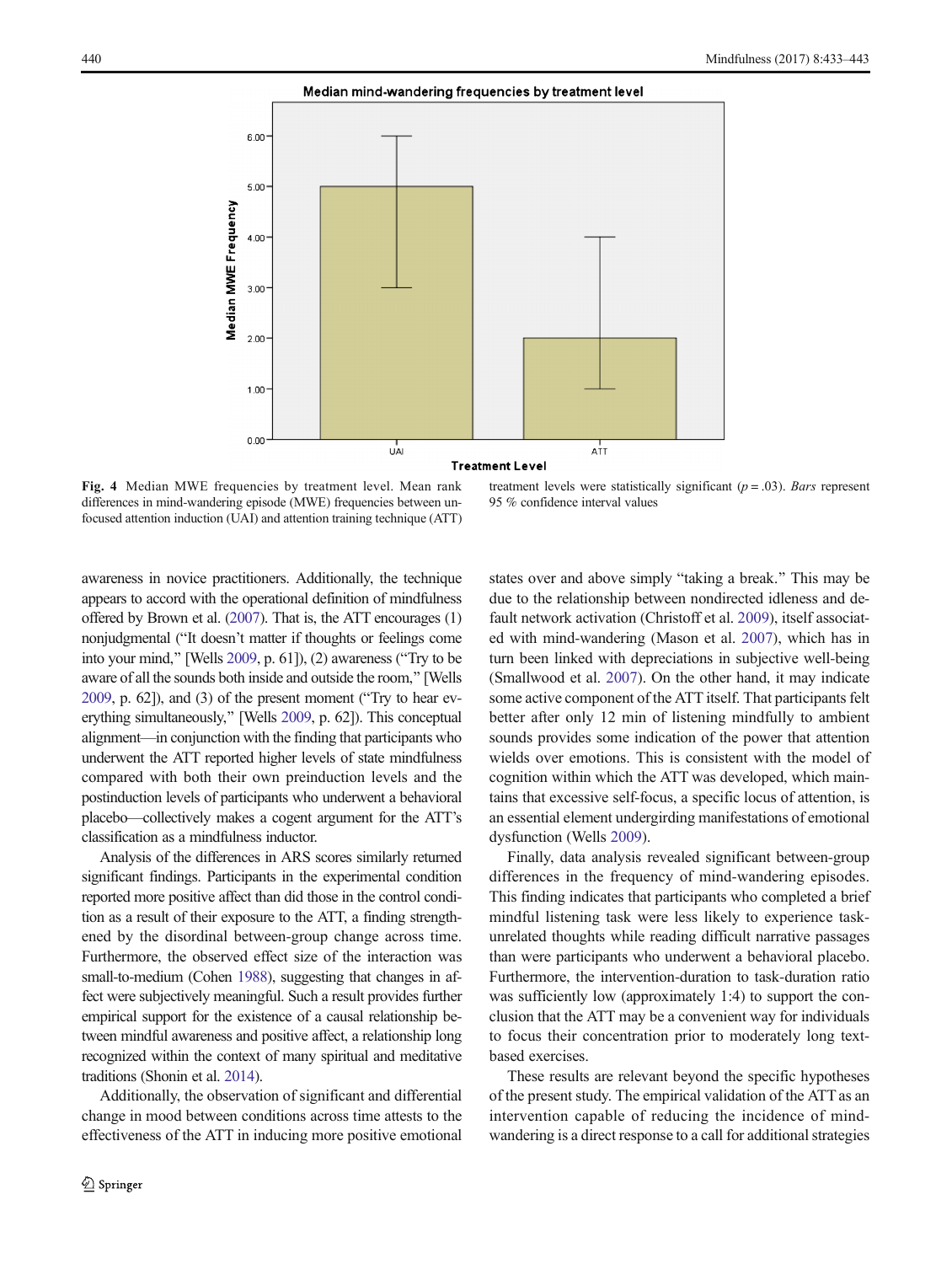#### Median mind-wandering frequencies by treatment level

<span id="page-7-0"></span>

Fig. 4 Median MWE frequencies by treatment level. Mean rank differences in mind-wandering episode (MWE) frequencies between unfocused attention induction (UAI) and attention training technique (ATT)

treatment levels were statistically significant  $(p = .03)$ . Bars represent 95 % confidence interval values

awareness in novice practitioners. Additionally, the technique appears to accord with the operational definition of mindfulness offered by Brown et al. [\(2007\)](#page-9-0). That is, the ATT encourages (1) nonjudgmental ("It doesn't matter if thoughts or feelings come into your mind," [Wells [2009,](#page-10-0) p. 61]), (2) awareness ("Try to be aware of all the sounds both inside and outside the room,^ [Wells  $2009$ , p.  $62$ ]), and  $(3)$  of the present moment ("Try to hear everything simultaneously,^ [Wells [2009,](#page-10-0) p. 62]). This conceptual alignment—in conjunction with the finding that participants who underwent the ATT reported higher levels of state mindfulness compared with both their own preinduction levels and the postinduction levels of participants who underwent a behavioral placebo—collectively makes a cogent argument for the ATT's classification as a mindfulness inductor.

Analysis of the differences in ARS scores similarly returned significant findings. Participants in the experimental condition reported more positive affect than did those in the control condition as a result of their exposure to the ATT, a finding strengthened by the disordinal between-group change across time. Furthermore, the observed effect size of the interaction was small-to-medium (Cohen [1988](#page-9-0)), suggesting that changes in affect were subjectively meaningful. Such a result provides further empirical support for the existence of a causal relationship between mindful awareness and positive affect, a relationship long recognized within the context of many spiritual and meditative traditions (Shonin et al. [2014](#page-10-0)).

Additionally, the observation of significant and differential change in mood between conditions across time attests to the effectiveness of the ATT in inducing more positive emotional states over and above simply "taking a break." This may be due to the relationship between nondirected idleness and default network activation (Christoff et al. [2009](#page-9-0)), itself associated with mind-wandering (Mason et al. [2007\)](#page-10-0), which has in turn been linked with depreciations in subjective well-being (Smallwood et al. [2007\)](#page-10-0). On the other hand, it may indicate some active component of the ATT itself. That participants felt better after only 12 min of listening mindfully to ambient sounds provides some indication of the power that attention wields over emotions. This is consistent with the model of cognition within which the ATT was developed, which maintains that excessive self-focus, a specific locus of attention, is an essential element undergirding manifestations of emotional dysfunction (Wells [2009\)](#page-10-0).

Finally, data analysis revealed significant between-group differences in the frequency of mind-wandering episodes. This finding indicates that participants who completed a brief mindful listening task were less likely to experience taskunrelated thoughts while reading difficult narrative passages than were participants who underwent a behavioral placebo. Furthermore, the intervention-duration to task-duration ratio was sufficiently low (approximately 1:4) to support the conclusion that the ATT may be a convenient way for individuals to focus their concentration prior to moderately long textbased exercises.

These results are relevant beyond the specific hypotheses of the present study. The empirical validation of the ATT as an intervention capable of reducing the incidence of mindwandering is a direct response to a call for additional strategies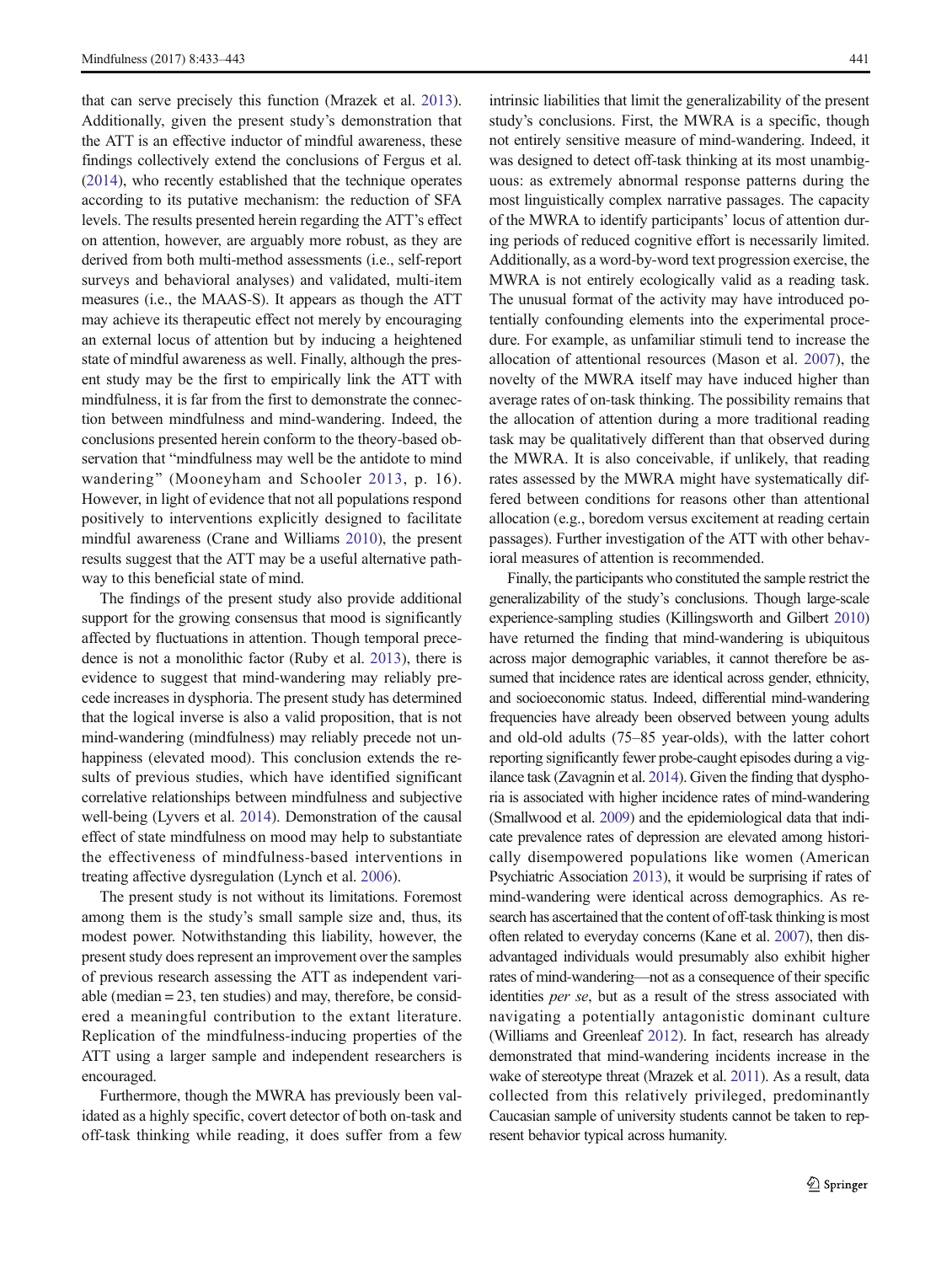that can serve precisely this function (Mrazek et al. [2013](#page-10-0)). Additionally, given the present study's demonstration that the ATT is an effective inductor of mindful awareness, these findings collectively extend the conclusions of Fergus et al. [\(2014\)](#page-9-0), who recently established that the technique operates according to its putative mechanism: the reduction of SFA levels. The results presented herein regarding the ATT's effect on attention, however, are arguably more robust, as they are derived from both multi-method assessments (i.e., self-report surveys and behavioral analyses) and validated, multi-item measures (i.e., the MAAS-S). It appears as though the ATT may achieve its therapeutic effect not merely by encouraging an external locus of attention but by inducing a heightened state of mindful awareness as well. Finally, although the present study may be the first to empirically link the ATT with mindfulness, it is far from the first to demonstrate the connection between mindfulness and mind-wandering. Indeed, the conclusions presented herein conform to the theory-based observation that "mindfulness may well be the antidote to mind wandering" (Mooneyham and Schooler [2013](#page-10-0), p. 16). However, in light of evidence that not all populations respond positively to interventions explicitly designed to facilitate mindful awareness (Crane and Williams [2010](#page-9-0)), the present results suggest that the ATT may be a useful alternative pathway to this beneficial state of mind.

The findings of the present study also provide additional support for the growing consensus that mood is significantly affected by fluctuations in attention. Though temporal precedence is not a monolithic factor (Ruby et al. [2013](#page-10-0)), there is evidence to suggest that mind-wandering may reliably precede increases in dysphoria. The present study has determined that the logical inverse is also a valid proposition, that is not mind-wandering (mindfulness) may reliably precede not unhappiness (elevated mood). This conclusion extends the results of previous studies, which have identified significant correlative relationships between mindfulness and subjective well-being (Lyvers et al. [2014\)](#page-10-0). Demonstration of the causal effect of state mindfulness on mood may help to substantiate the effectiveness of mindfulness-based interventions in treating affective dysregulation (Lynch et al. [2006](#page-10-0)).

The present study is not without its limitations. Foremost among them is the study's small sample size and, thus, its modest power. Notwithstanding this liability, however, the present study does represent an improvement over the samples of previous research assessing the ATT as independent variable (median = 23, ten studies) and may, therefore, be considered a meaningful contribution to the extant literature. Replication of the mindfulness-inducing properties of the ATT using a larger sample and independent researchers is encouraged.

Furthermore, though the MWRA has previously been validated as a highly specific, covert detector of both on-task and off-task thinking while reading, it does suffer from a few intrinsic liabilities that limit the generalizability of the present study's conclusions. First, the MWRA is a specific, though not entirely sensitive measure of mind-wandering. Indeed, it was designed to detect off-task thinking at its most unambiguous: as extremely abnormal response patterns during the most linguistically complex narrative passages. The capacity of the MWRA to identify participants' locus of attention during periods of reduced cognitive effort is necessarily limited. Additionally, as a word-by-word text progression exercise, the MWRA is not entirely ecologically valid as a reading task. The unusual format of the activity may have introduced potentially confounding elements into the experimental procedure. For example, as unfamiliar stimuli tend to increase the allocation of attentional resources (Mason et al. [2007\)](#page-10-0), the novelty of the MWRA itself may have induced higher than average rates of on-task thinking. The possibility remains that the allocation of attention during a more traditional reading task may be qualitatively different than that observed during the MWRA. It is also conceivable, if unlikely, that reading rates assessed by the MWRA might have systematically differed between conditions for reasons other than attentional allocation (e.g., boredom versus excitement at reading certain passages). Further investigation of the ATT with other behavioral measures of attention is recommended.

Finally, the participants who constituted the sample restrict the generalizability of the study's conclusions. Though large-scale experience-sampling studies (Killingsworth and Gilbert [2010](#page-9-0)) have returned the finding that mind-wandering is ubiquitous across major demographic variables, it cannot therefore be assumed that incidence rates are identical across gender, ethnicity, and socioeconomic status. Indeed, differential mind-wandering frequencies have already been observed between young adults and old-old adults (75–85 year-olds), with the latter cohort reporting significantly fewer probe-caught episodes during a vigilance task (Zavagnin et al. [2014\)](#page-10-0). Given the finding that dysphoria is associated with higher incidence rates of mind-wandering (Smallwood et al. [2009](#page-10-0)) and the epidemiological data that indicate prevalence rates of depression are elevated among historically disempowered populations like women (American Psychiatric Association [2013\)](#page-9-0), it would be surprising if rates of mind-wandering were identical across demographics. As research has ascertained that the content of off-task thinking is most often related to everyday concerns (Kane et al. [2007](#page-9-0)), then disadvantaged individuals would presumably also exhibit higher rates of mind-wandering—not as a consequence of their specific identities per se, but as a result of the stress associated with navigating a potentially antagonistic dominant culture (Williams and Greenleaf [2012\)](#page-10-0). In fact, research has already demonstrated that mind-wandering incidents increase in the wake of stereotype threat (Mrazek et al. [2011\)](#page-10-0). As a result, data collected from this relatively privileged, predominantly Caucasian sample of university students cannot be taken to represent behavior typical across humanity.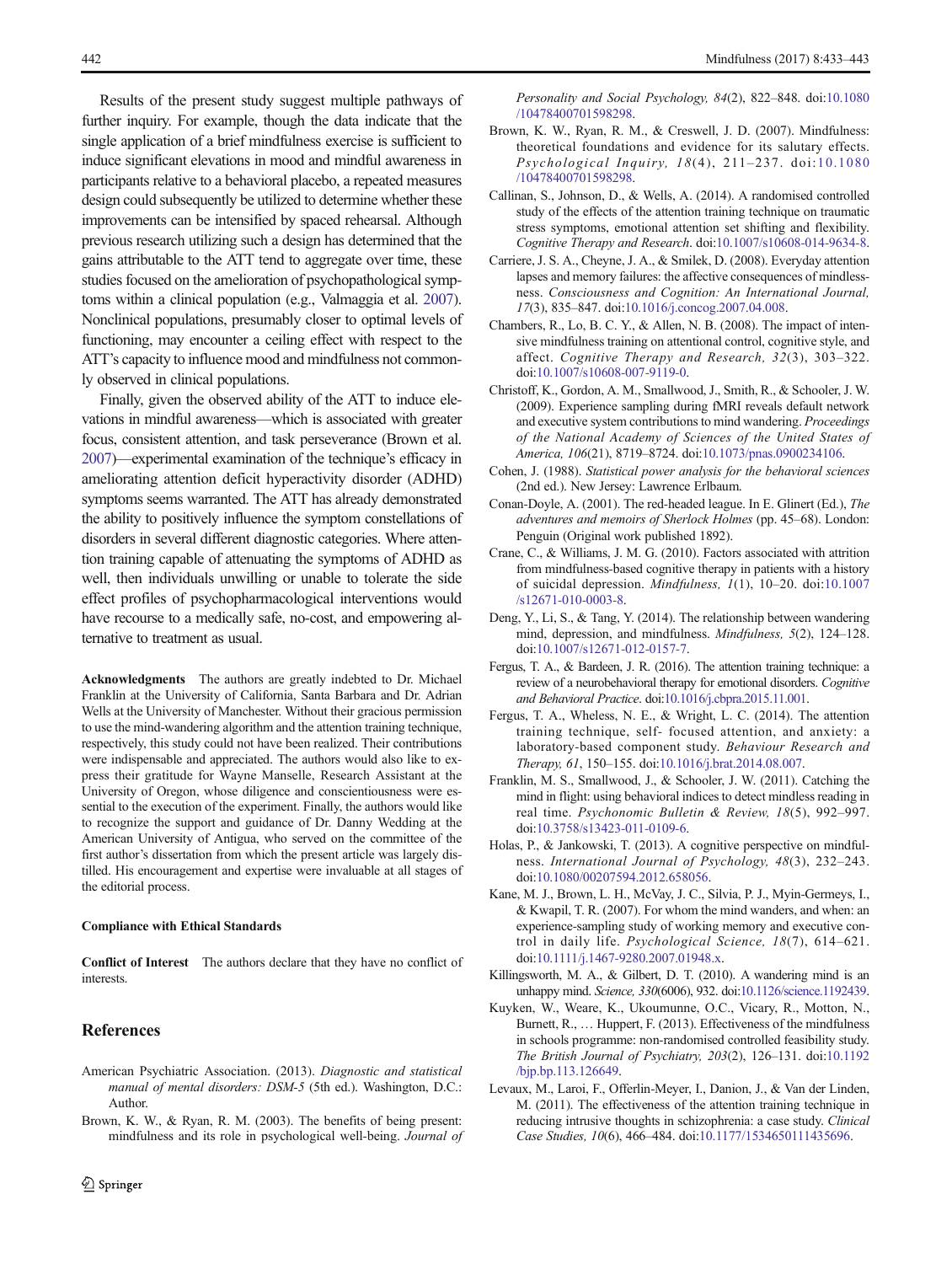<span id="page-9-0"></span>Results of the present study suggest multiple pathways of further inquiry. For example, though the data indicate that the single application of a brief mindfulness exercise is sufficient to induce significant elevations in mood and mindful awareness in participants relative to a behavioral placebo, a repeated measures design could subsequently be utilized to determine whether these improvements can be intensified by spaced rehearsal. Although previous research utilizing such a design has determined that the gains attributable to the ATT tend to aggregate over time, these studies focused on the amelioration of psychopathological symptoms within a clinical population (e.g., Valmaggia et al. [2007\)](#page-10-0). Nonclinical populations, presumably closer to optimal levels of functioning, may encounter a ceiling effect with respect to the ATT's capacity to influence mood and mindfulness not commonly observed in clinical populations.

Finally, given the observed ability of the ATT to induce elevations in mindful awareness—which is associated with greater focus, consistent attention, and task perseverance (Brown et al. 2007)—experimental examination of the technique's efficacy in ameliorating attention deficit hyperactivity disorder (ADHD) symptoms seems warranted. The ATT has already demonstrated the ability to positively influence the symptom constellations of disorders in several different diagnostic categories. Where attention training capable of attenuating the symptoms of ADHD as well, then individuals unwilling or unable to tolerate the side effect profiles of psychopharmacological interventions would have recourse to a medically safe, no-cost, and empowering alternative to treatment as usual.

Acknowledgments The authors are greatly indebted to Dr. Michael Franklin at the University of California, Santa Barbara and Dr. Adrian Wells at the University of Manchester. Without their gracious permission to use the mind-wandering algorithm and the attention training technique, respectively, this study could not have been realized. Their contributions were indispensable and appreciated. The authors would also like to express their gratitude for Wayne Manselle, Research Assistant at the University of Oregon, whose diligence and conscientiousness were essential to the execution of the experiment. Finally, the authors would like to recognize the support and guidance of Dr. Danny Wedding at the American University of Antigua, who served on the committee of the first author's dissertation from which the present article was largely distilled. His encouragement and expertise were invaluable at all stages of the editorial process.

#### Compliance with Ethical Standards

Conflict of Interest The authors declare that they have no conflict of interests.

## **References**

- American Psychiatric Association. (2013). Diagnostic and statistical manual of mental disorders: DSM-5 (5th ed.). Washington, D.C.: Author.
- Brown, K. W., & Ryan, R. M. (2003). The benefits of being present: mindfulness and its role in psychological well-being. Journal of

Personality and Social Psychology, 84(2), 822–848. doi[:10.1080](http://dx.doi.org/10.1080/10478400701598298) [/10478400701598298.](http://dx.doi.org/10.1080/10478400701598298)

- Brown, K. W., Ryan, R. M., & Creswell, J. D. (2007). Mindfulness: theoretical foundations and evidence for its salutary effects. Psychological Inquiry, 18(4), 211–237. doi:[10.1080](http://dx.doi.org/10.1080/10478400701598298) [/10478400701598298.](http://dx.doi.org/10.1080/10478400701598298)
- Callinan, S., Johnson, D., & Wells, A. (2014). A randomised controlled study of the effects of the attention training technique on traumatic stress symptoms, emotional attention set shifting and flexibility. Cognitive Therapy and Research. doi[:10.1007/s10608-014-9634-8](http://dx.doi.org/10.1007/s10608-014-9634-8).
- Carriere, J. S. A., Cheyne, J. A., & Smilek, D. (2008). Everyday attention lapses and memory failures: the affective consequences of mindlessness. Consciousness and Cognition: An International Journal, 17(3), 835–847. doi[:10.1016/j.concog.2007.04.008](http://dx.doi.org/10.1016/j.concog.2007.04.008).
- Chambers, R., Lo, B. C. Y., & Allen, N. B. (2008). The impact of intensive mindfulness training on attentional control, cognitive style, and affect. Cognitive Therapy and Research, 32(3), 303–322. doi:[10.1007/s10608-007-9119-0](http://dx.doi.org/10.1007/s10608-007-9119-0).
- Christoff, K., Gordon, A. M., Smallwood, J., Smith, R., & Schooler, J. W. (2009). Experience sampling during fMRI reveals default network and executive system contributions to mind wandering. Proceedings of the National Academy of Sciences of the United States of America, 106(21), 8719–8724. doi:[10.1073/pnas.0900234106.](http://dx.doi.org/10.1073/pnas.0900234106)
- Cohen, J. (1988). Statistical power analysis for the behavioral sciences (2nd ed.). New Jersey: Lawrence Erlbaum.
- Conan-Doyle, A. (2001). The red-headed league. In E. Glinert (Ed.), The adventures and memoirs of Sherlock Holmes (pp. 45–68). London: Penguin (Original work published 1892).
- Crane, C., & Williams, J. M. G. (2010). Factors associated with attrition from mindfulness-based cognitive therapy in patients with a history of suicidal depression. Mindfulness, 1(1), 10–20. doi:[10.1007](http://dx.doi.org/10.1007/s12671-010-0003-8) [/s12671-010-0003-8](http://dx.doi.org/10.1007/s12671-010-0003-8).
- Deng, Y., Li, S., & Tang, Y. (2014). The relationship between wandering mind, depression, and mindfulness. Mindfulness, 5(2), 124–128. doi:[10.1007/s12671-012-0157-7.](http://dx.doi.org/10.1007/s12671-012-0157-7)
- Fergus, T. A., & Bardeen, J. R. (2016). The attention training technique: a review of a neurobehavioral therapy for emotional disorders. Cognitive and Behavioral Practice. doi:[10.1016/j.cbpra.2015.11.001.](http://dx.doi.org/10.1016/j.cbpra.2015.11.001)
- Fergus, T. A., Wheless, N. E., & Wright, L. C. (2014). The attention training technique, self- focused attention, and anxiety: a laboratory-based component study. Behaviour Research and Therapy, 61, 150–155. doi:[10.1016/j.brat.2014.08.007.](http://dx.doi.org/10.1016/j.brat.2014.08.007)
- Franklin, M. S., Smallwood, J., & Schooler, J. W. (2011). Catching the mind in flight: using behavioral indices to detect mindless reading in real time. Psychonomic Bulletin & Review, 18(5), 992–997. doi:[10.3758/s13423-011-0109-6](http://dx.doi.org/10.3758/s13423-011-0109-6).
- Holas, P., & Jankowski, T. (2013). A cognitive perspective on mindfulness. International Journal of Psychology, 48(3), 232–243. doi:[10.1080/00207594.2012.658056](http://dx.doi.org/10.1080/00207594.2012.658056).
- Kane, M. J., Brown, L. H., McVay, J. C., Silvia, P. J., Myin-Germeys, I., & Kwapil, T. R. (2007). For whom the mind wanders, and when: an experience-sampling study of working memory and executive control in daily life. Psychological Science, 18(7), 614–621. doi:[10.1111/j.1467-9280.2007.01948.x](http://dx.doi.org/10.1111/j.1467-9280.2007.01948.x).
- Killingsworth, M. A., & Gilbert, D. T. (2010). A wandering mind is an unhappy mind. Science, 330(6006), 932. doi[:10.1126/science.1192439](http://dx.doi.org/10.1126/science.1192439).
- Kuyken, W., Weare, K., Ukoumunne, O.C., Vicary, R., Motton, N., Burnett, R., … Huppert, F. (2013). Effectiveness of the mindfulness in schools programme: non-randomised controlled feasibility study. The British Journal of Psychiatry, 203(2), 126–131. doi[:10.1192](http://dx.doi.org/10.1192/bjp.bp.113.126649) [/bjp.bp.113.126649](http://dx.doi.org/10.1192/bjp.bp.113.126649).
- Levaux, M., Laroi, F., Offerlin-Meyer, I., Danion, J., & Van der Linden, M. (2011). The effectiveness of the attention training technique in reducing intrusive thoughts in schizophrenia: a case study. Clinical Case Studies, 10(6), 466–484. doi:[10.1177/1534650111435696](http://dx.doi.org/10.1177/1534650111435696).